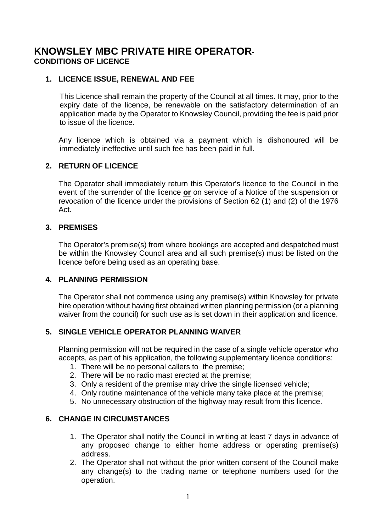# **KNOWSLEY MBC PRIVATE HIRE OPERATOR-CONDITIONS OF LICENCE**

# **1. LICENCE ISSUE, RENEWAL AND FEE**

This Licence shall remain the property of the Council at all times. It may, prior to the expiry date of the licence, be renewable on the satisfactory determination of an application made by the Operator to Knowsley Council, providing the fee is paid prior to issue of the licence.

Any licence which is obtained via a payment which is dishonoured will be immediately ineffective until such fee has been paid in full.

#### **2. RETURN OF LICENCE**

The Operator shall immediately return this Operator's licence to the Council in the event of the surrender of the licence **or** on service of a Notice of the suspension or revocation of the licence under the provisions of Section 62 (1) and (2) of the 1976 Act.

# **3. PREMISES**

The Operator's premise(s) from where bookings are accepted and despatched must be within the Knowsley Council area and all such premise(s) must be listed on the licence before being used as an operating base.

#### **4. PLANNING PERMISSION**

The Operator shall not commence using any premise(s) within Knowsley for private hire operation without having first obtained written planning permission (or a planning waiver from the council) for such use as is set down in their application and licence.

# **5. SINGLE VEHICLE OPERATOR PLANNING WAIVER**

Planning permission will not be required in the case of a single vehicle operator who accepts, as part of his application, the following supplementary licence conditions:

- 1. There will be no personal callers to the premise;
- 2. There will be no radio mast erected at the premise;
- 3. Only a resident of the premise may drive the single licensed vehicle;
- 4. Only routine maintenance of the vehicle many take place at the premise;
- 5. No unnecessary obstruction of the highway may result from this licence.

#### **6. CHANGE IN CIRCUMSTANCES**

- 1. The Operator shall notify the Council in writing at least 7 days in advance of any proposed change to either home address or operating premise(s) address.
- 2. The Operator shall not without the prior written consent of the Council make any change(s) to the trading name or telephone numbers used for the operation.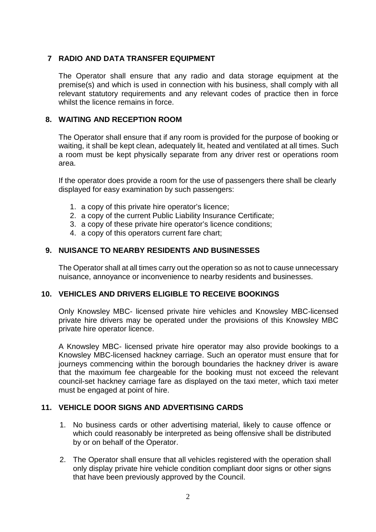# **7 RADIO AND DATA TRANSFER EQUIPMENT**

The Operator shall ensure that any radio and data storage equipment at the premise(s) and which is used in connection with his business, shall comply with all relevant statutory requirements and any relevant codes of practice then in force whilst the licence remains in force.

# **8. WAITING AND RECEPTION ROOM**

The Operator shall ensure that if any room is provided for the purpose of booking or waiting, it shall be kept clean, adequately lit, heated and ventilated at all times. Such a room must be kept physically separate from any driver rest or operations room area.

If the operator does provide a room for the use of passengers there shall be clearly displayed for easy examination by such passengers:

- 1. a copy of this private hire operator's licence;
- 2. a copy of the current Public Liability Insurance Certificate;
- 3. a copy of these private hire operator's licence conditions;
- 4. a copy of this operators current fare chart;

# **9. NUISANCE TO NEARBY RESIDENTS AND BUSINESSES**

The Operator shall at all times carry out the operation so as not to cause unnecessary nuisance, annoyance or inconvenience to nearby residents and businesses.

#### **10. VEHICLES AND DRIVERS ELIGIBLE TO RECEIVE BOOKINGS**

Only Knowsley MBC- licensed private hire vehicles and Knowsley MBC-licensed private hire drivers may be operated under the provisions of this Knowsley MBC private hire operator licence.

A Knowsley MBC- licensed private hire operator may also provide bookings to a Knowsley MBC-licensed hackney carriage. Such an operator must ensure that for journeys commencing within the borough boundaries the hackney driver is aware that the maximum fee chargeable for the booking must not exceed the relevant council-set hackney carriage fare as displayed on the taxi meter, which taxi meter must be engaged at point of hire.

#### **11. VEHICLE DOOR SIGNS AND ADVERTISING CARDS**

- 1. No business cards or other advertising material, likely to cause offence or which could reasonably be interpreted as being offensive shall be distributed by or on behalf of the Operator.
- 2. The Operator shall ensure that all vehicles registered with the operation shall only display private hire vehicle condition compliant door signs or other signs that have been previously approved by the Council.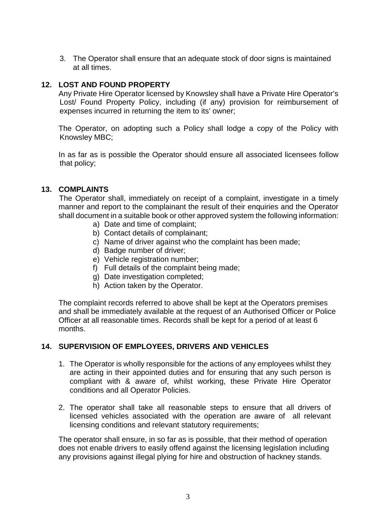3. The Operator shall ensure that an adequate stock of door signs is maintained at all times.

# **12. LOST AND FOUND PROPERTY**

Any Private Hire Operator licensed by Knowsley shall have a Private Hire Operator's Lost/ Found Property Policy, including (if any) provision for reimbursement of expenses incurred in returning the item to its' owner;

The Operator, on adopting such a Policy shall lodge a copy of the Policy with Knowsley MBC;

In as far as is possible the Operator should ensure all associated licensees follow that policy;

#### **13. COMPLAINTS**

The Operator shall, immediately on receipt of a complaint, investigate in a timely manner and report to the complainant the result of their enquiries and the Operator shall document in a suitable book or other approved system the following information:

- a) Date and time of complaint;
- b) Contact details of complainant;
- c) Name of driver against who the complaint has been made;
- d) Badge number of driver;
- e) Vehicle registration number;
- f) Full details of the complaint being made;
- g) Date investigation completed;
- h) Action taken by the Operator.

The complaint records referred to above shall be kept at the Operators premises and shall be immediately available at the request of an Authorised Officer or Police Officer at all reasonable times. Records shall be kept for a period of at least 6 months.

#### **14. SUPERVISION OF EMPLOYEES, DRIVERS AND VEHICLES**

- 1. The Operator is wholly responsible for the actions of any employees whilst they are acting in their appointed duties and for ensuring that any such person is compliant with & aware of, whilst working, these Private Hire Operator conditions and all Operator Policies.
- 2. The operator shall take all reasonable steps to ensure that all drivers of licensed vehicles associated with the operation are aware of all relevant licensing conditions and relevant statutory requirements;

The operator shall ensure, in so far as is possible, that their method of operation does not enable drivers to easily offend against the licensing legislation including any provisions against illegal plying for hire and obstruction of hackney stands.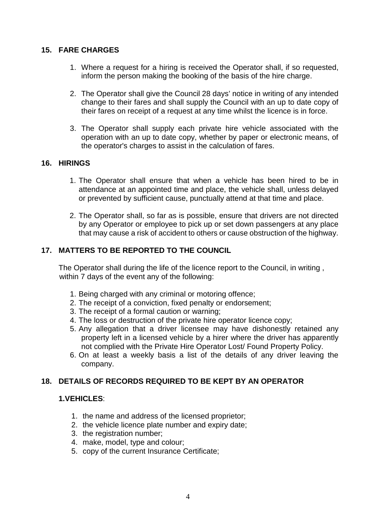# **15. FARE CHARGES**

- 1. Where a request for a hiring is received the Operator shall, if so requested, inform the person making the booking of the basis of the hire charge.
- 2. The Operator shall give the Council 28 days' notice in writing of any intended change to their fares and shall supply the Council with an up to date copy of their fares on receipt of a request at any time whilst the licence is in force.
- 3. The Operator shall supply each private hire vehicle associated with the operation with an up to date copy, whether by paper or electronic means, of the operator's charges to assist in the calculation of fares.

# **16. HIRINGS**

- 1. The Operator shall ensure that when a vehicle has been hired to be in attendance at an appointed time and place, the vehicle shall, unless delayed or prevented by sufficient cause, punctually attend at that time and place.
- 2. The Operator shall, so far as is possible, ensure that drivers are not directed by any Operator or employee to pick up or set down passengers at any place that may cause a risk of accident to others or cause obstruction of the highway.

# **17. MATTERS TO BE REPORTED TO THE COUNCIL**

The Operator shall during the life of the licence report to the Council, in writing , within 7 days of the event any of the following:

- 1. Being charged with any criminal or motoring offence;
- 2. The receipt of a conviction, fixed penalty or endorsement;
- 3. The receipt of a formal caution or warning;
- 4. The loss or destruction of the private hire operator licence copy;
- 5. Any allegation that a driver licensee may have dishonestly retained any property left in a licensed vehicle by a hirer where the driver has apparently not complied with the Private Hire Operator Lost/ Found Property Policy.
- 6. On at least a weekly basis a list of the details of any driver leaving the company.

# **18. DETAILS OF RECORDS REQUIRED TO BE KEPT BY AN OPERATOR**

#### **1.VEHICLES**:

- 1. the name and address of the licensed proprietor;
- 2. the vehicle licence plate number and expiry date;
- 3. the registration number;
- 4. make, model, type and colour;
- 5. copy of the current Insurance Certificate;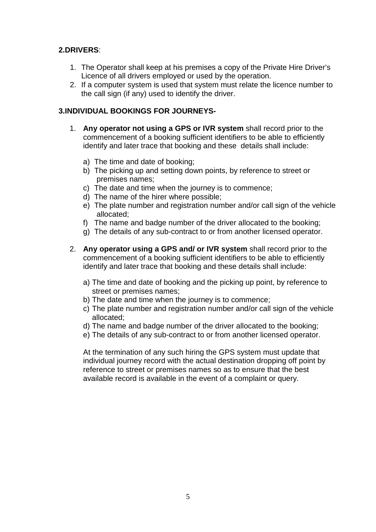# **2.DRIVERS**:

- 1. The Operator shall keep at his premises a copy of the Private Hire Driver's Licence of all drivers employed or used by the operation.
- 2. If a computer system is used that system must relate the licence number to the call sign (if any) used to identify the driver.

# **3.INDIVIDUAL BOOKINGS FOR JOURNEYS-**

- 1. **Any operator not using a GPS or IVR system** shall record prior to the commencement of a booking sufficient identifiers to be able to efficiently identify and later trace that booking and these details shall include:
	- a) The time and date of booking;
	- b) The picking up and setting down points, by reference to street or premises names;
	- c) The date and time when the journey is to commence;
	- d) The name of the hirer where possible;
	- e) The plate number and registration number and/or call sign of the vehicle allocated;
	- f) The name and badge number of the driver allocated to the booking;
	- g) The details of any sub-contract to or from another licensed operator.
- 2. **Any operator using a GPS and/ or IVR system** shall record prior to the commencement of a booking sufficient identifiers to be able to efficiently identify and later trace that booking and these details shall include:
	- a) The time and date of booking and the picking up point, by reference to street or premises names;
	- b) The date and time when the journey is to commence;
	- c) The plate number and registration number and/or call sign of the vehicle allocated;
	- d) The name and badge number of the driver allocated to the booking;
	- e) The details of any sub-contract to or from another licensed operator.

At the termination of any such hiring the GPS system must update that individual journey record with the actual destination dropping off point by reference to street or premises names so as to ensure that the best available record is available in the event of a complaint or query.